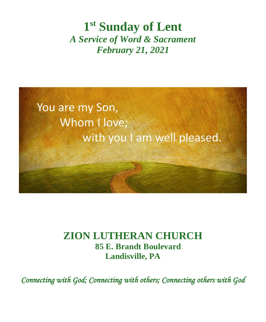**1 st Sunday of Lent** *A Service of Word & Sacrament February 21, 2021*



# **ZION LUTHERAN CHURCH 85 E. Brandt Boulevard Landisville, PA**

*Connecting with God; Connecting with others; Connecting others with God*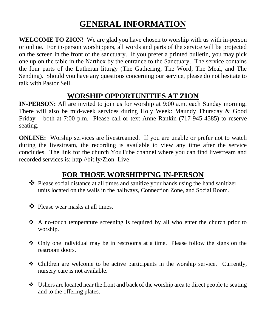# **GENERAL INFORMATION**

**WELCOME TO ZION!** We are glad you have chosen to worship with us with in-person or online. For in-person worshippers, all words and parts of the service will be projected on the screen in the front of the sanctuary. If you prefer a printed bulletin, you may pick one up on the table in the Narthex by the entrance to the Sanctuary. The service contains the four parts of the Lutheran liturgy (The Gathering, The Word, The Meal, and The Sending). Should you have any questions concerning our service, please do not hesitate to talk with Pastor Sell.

# **WORSHIP OPPORTUNITIES AT ZION**

**IN-PERSON:** All are invited to join us for worship at 9:00 a.m. each Sunday morning. There will also be mid-week services during Holy Week: Maundy Thursday & Good Friday – both at 7:00 p.m. Please call or text Anne Rankin (717-945-4585) to reserve seating.

**ONLINE:** Worship services are livestreamed. If you are unable or prefer not to watch during the livestream, the recording is available to view any time after the service concludes. The link for the church YouTube channel where you can find livestream and recorded services is: [http://bit.ly/Zion\\_Live](http://bit.ly/Zion_Live)

# **FOR THOSE WORSHIPPING IN-PERSON**

- ❖ Please social distance at all times and sanitize your hands using the hand sanitizer units located on the walls in the hallways, Connection Zone, and Social Room.
- ❖ Please wear masks at all times.
- ❖ A no-touch temperature screening is required by all who enter the church prior to worship.
- ❖ Only one individual may be in restrooms at a time. Please follow the signs on the restroom doors.
- $\bullet$  Children are welcome to be active participants in the worship service. Currently, nursery care is not available.
- ❖ Ushers are located near the front and back of the worship area to direct people to seating and to the offering plates.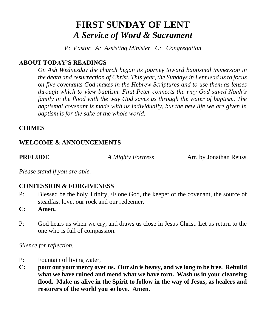# **FIRST SUNDAY OF LENT** *A Service of Word & Sacrament*

*P: Pastor A: Assisting Minister C: Congregation* 

## **ABOUT TODAY'S READINGS**

*On Ash Wednesday the church began its journey toward baptismal immersion in the death and resurrection of Christ. This year, the Sundays in Lent lead us to focus on five covenants God makes in the Hebrew Scriptures and to use them as lenses through which to view baptism. First Peter connects the way God saved Noah's family in the flood with the way God saves us through the water of baptism. The baptismal covenant is made with us individually, but the new life we are given in baptism is for the sake of the whole world.*

#### **CHIMES**

# **WELCOME & ANNOUNCEMENTS**

**PRELUDE** *A Mighty Fortress* Arr. by Jonathan Reuss

*Please stand if you are able.* 

#### **CONFESSION & FORGIVENESS**

- P: Blessed be the holy Trinity,  $\pm$  one God, the keeper of the covenant, the source of steadfast love, our rock and our redeemer.
- **C: Amen.**
- P: God hears us when we cry, and draws us close in Jesus Christ. Let us return to the one who is full of compassion.

*Silence for reflection.*

- P: Fountain of living water,
- **C: pour out your mercy over us. Our sin is heavy, and we long to be free. Rebuild what we have ruined and mend what we have torn. Wash us in your cleansing flood. Make us alive in the Spirit to follow in the way of Jesus, as healers and restorers of the world you so love. Amen.**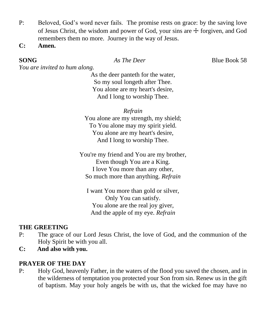P: Beloved, God's word never fails. The promise rests on grace: by the saving love of Jesus Christ, the wisdom and power of God, your sins are  $\pm$  forgiven, and God remembers them no more. Journey in the way of Jesus.

**C: Amen.** 

**SONG** *As The Deer* Blue Book 58

*You are invited to hum along.*

As the deer panteth for the water, So my soul longeth after Thee. You alone are my heart's desire, And I long to worship Thee.

*Refrain* You alone are my strength, my shield; To You alone may my spirit yield. You alone are my heart's desire, And I long to worship Thee.

You're my friend and You are my brother, Even though You are a King. I love You more than any other, So much more than anything. *Refrain*

I want You more than gold or silver, Only You can satisfy. You alone are the real joy giver, And the apple of my eye. *Refrain*

### **THE GREETING**

- P: The grace of our Lord Jesus Christ, the love of God, and the communion of the Holy Spirit be with you all.
- **C: And also with you.**

#### **PRAYER OF THE DAY**

P: Holy God, heavenly Father, in the waters of the flood you saved the chosen, and in the wilderness of temptation you protected your Son from sin. Renew us in the gift of baptism. May your holy angels be with us, that the wicked foe may have no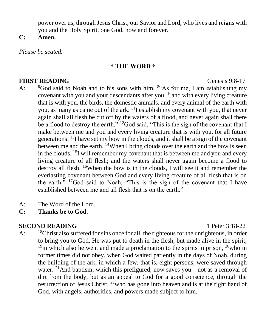power over us, through Jesus Christ, our Savior and Lord, who lives and reigns with you and the Holy Spirit, one God, now and forever.

**C: Amen.**

*Please be seated.*

#### **† THE WORD †**

#### **FIRST READING** Genesis 9:8-17

- A:  $8\text{God said to Noah and to his sons with him, } 9\text{``As for me, I am establishing my}$ covenant with you and your descendants after you,  $^{10}$  and with every living creature that is with you, the birds, the domestic animals, and every animal of the earth with you, as many as came out of the ark.  $<sup>11</sup>I$  establish my covenant with you, that never</sup> again shall all flesh be cut off by the waters of a flood, and never again shall there be a flood to destroy the earth."  $^{12}$ God said, "This is the sign of the covenant that I make between me and you and every living creature that is with you, for all future generations: <sup>13</sup>I have set my bow in the clouds, and it shall be a sign of the covenant between me and the earth.  $14$ When I bring clouds over the earth and the bow is seen in the clouds,  $^{15}I$  will remember my covenant that is between me and you and every living creature of all flesh; and the waters shall never again become a flood to destroy all flesh. <sup>16</sup>When the bow is in the clouds, I will see it and remember the everlasting covenant between God and every living creature of all flesh that is on the earth."  $17$ God said to Noah, "This is the sign of the covenant that I have established between me and all flesh that is on the earth."
- A: The Word of the Lord.
- **C: Thanks be to God.**

### **SECOND READING** 1 Peter 3:18-22

A:  $18$ Christ also suffered for sins once for all, the righteous for the unrighteous, in order to bring you to God. He was put to death in the flesh, but made alive in the spirit,  $19$ in which also he went and made a proclamation to the spirits in prison,  $20$ who in former times did not obey, when God waited patiently in the days of Noah, during the building of the ark, in which a few, that is, eight persons, were saved through water. <sup>21</sup>And baptism, which this prefigured, now saves you—not as a removal of dirt from the body, but as an appeal to God for a good conscience, through the resurrection of Jesus Christ, <sup>22</sup>who has gone into heaven and is at the right hand of God, with angels, authorities, and powers made subject to him.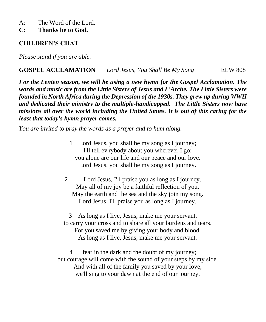- A: The Word of the Lord.
- **C: Thanks be to God.**

#### **CHILDREN'S CHAT**

*Please stand if you are able.*

#### **GOSPEL ACCLAMATION** *Lord Jesus, You Shall Be My Song* ELW 808

*For the Lenten season, we will be using a new hymn for the Gospel Acclamation. The words and music are from the Little Sisters of Jesus and L'Arche. The Little Sisters were founded in North Africa during the Depression of the 1930s. They grew up during WWII and dedicated their ministry to the multiple-handicapped. The Little Sisters now have missions all over the world including the United States. It is out of this caring for the least that today's hymn prayer comes.*

*You are invited to pray the words as a prayer and to hum along.*

- 1 Lord Jesus, you shall be my song as I journey; I'll tell ev'rybody about you wherever I go: you alone are our life and our peace and our love. Lord Jesus, you shall be my song as I journey.
- 2 Lord Jesus, I'll praise you as long as I journey. May all of my joy be a faithful reflection of you. May the earth and the sea and the sky join my song. Lord Jesus, I'll praise you as long as I journey.

3 As long as I live, Jesus, make me your servant, to carry your cross and to share all your burdens and tears. For you saved me by giving your body and blood. As long as I live, Jesus, make me your servant.

4 I fear in the dark and the doubt of my journey; but courage will come with the sound of your steps by my side. And with all of the family you saved by your love, we'll sing to your dawn at the end of our journey.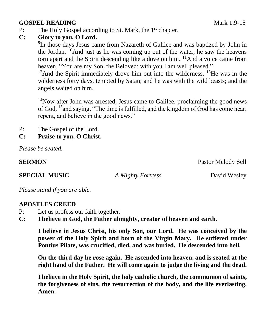### **GOSPEL READING Mark 1:9-15**

- P: The Holy Gospel according to St. Mark, the 1<sup>st</sup> chapter.
- **C: Glory to you, O Lord.**

<sup>9</sup>In those days Jesus came from Nazareth of Galilee and was baptized by John in the Jordan.  $^{10}$ And just as he was coming up out of the water, he saw the heavens torn apart and the Spirit descending like a dove on him.  $\frac{11}{1}$ And a voice came from heaven, "You are my Son, the Beloved; with you I am well pleased."

 $12$ And the Spirit immediately drove him out into the wilderness.  $13$ He was in the wilderness forty days, tempted by Satan; and he was with the wild beasts; and the angels waited on him.

 $14$ Now after John was arrested, Jesus came to Galilee, proclaiming the good news of God, <sup>15</sup>and saying, "The time is fulfilled, and the kingdom of God has come near; repent, and believe in the good news."

- P: The Gospel of the Lord.
- **C: Praise to you, O Christ.**

*Please be seated.*

**SERMON Pastor Melody Sell** 

**SPECIAL MUSIC** *A Mighty Fortress* David Wesley

*Please stand if you are able.*

#### **APOSTLES CREED**

- P: Let us profess our faith together.
- **C: I believe in God, the Father almighty, creator of heaven and earth.**

**I believe in Jesus Christ, his only Son, our Lord. He was conceived by the power of the Holy Spirit and born of the Virgin Mary. He suffered under Pontius Pilate, was crucified, died, and was buried. He descended into hell.**

**On the third day he rose again. He ascended into heaven, and is seated at the right hand of the Father. He will come again to judge the living and the dead.**

**I believe in the Holy Spirit, the holy catholic church, the communion of saints, the forgiveness of sins, the resurrection of the body, and the life everlasting. Amen.**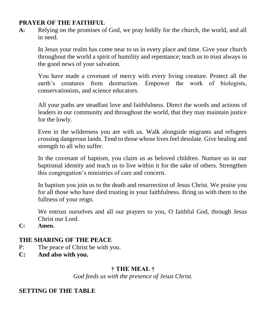### **PRAYER OF THE FAITHFUL**

**A:** Relying on the promises of God, we pray boldly for the church, the world, and all in need.

In Jesus your realm has come near to us in every place and time. Give your church throughout the world a spirit of humility and repentance; teach us to trust always in the good news of your salvation.

You have made a covenant of mercy with every living creature. Protect all the earth's creatures from destruction. Empower the work of biologists, conservationists, and science educators.

All your paths are steadfast love and faithfulness. Direct the words and actions of leaders in our community and throughout the world, that they may maintain justice for the lowly.

Even in the wilderness you are with us. Walk alongside migrants and refugees crossing dangerous lands. Tend to those whose lives feel desolate. Give healing and strength to all who suffer.

In the covenant of baptism, you claim us as beloved children. Nurture us in our baptismal identity and teach us to live within it for the sake of others. Strengthen this congregation's ministries of care and concern.

In baptism you join us to the death and resurrection of Jesus Christ. We praise you for all those who have died trusting in your faithfulness. Bring us with them to the fullness of your reign.

We entrust ourselves and all our prayers to you, O faithful God, through Jesus Christ our Lord.

**C: Amen.**

### **THE SHARING OF THE PEACE**

- P: The peace of Christ be with you.
- **C: And also with you.**

#### **† THE MEAL †**

*God feeds us with the presence of Jesus Christ.*

### **SETTING OF THE TABLE**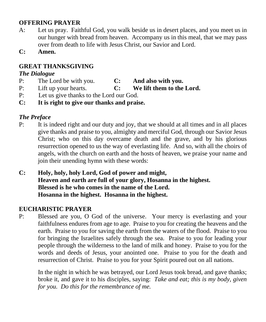## **OFFERING PRAYER**

- A: Let us pray. Faithful God, you walk beside us in desert places, and you meet us in our hunger with bread from heaven. Accompany us in this meal, that we may pass over from death to life with Jesus Christ, our Savior and Lord.
- **C: Amen.**

# **GREAT THANKSGIVING**

#### *The Dialogue*

- P: The Lord be with you. **C: And also with you.**
	-
- P: Lift up your hearts. **C: We lift them to the Lord.**
- P: Let us give thanks to the Lord our God.
- **C: It is right to give our thanks and praise.**

# *The Preface*

- P: It is indeed right and our duty and joy, that we should at all times and in all places give thanks and praise to you, almighty and merciful God, through our Savior Jesus Christ; who on this day overcame death and the grave, and by his glorious resurrection opened to us the way of everlasting life. And so, with all the choirs of angels, with the church on earth and the hosts of heaven, we praise your name and join their unending hymn with these words:
- **C: Holy, holy, holy Lord, God of power and might, Heaven and earth are full of your glory, Hosanna in the highest. Blessed is he who comes in the name of the Lord. Hosanna in the highest. Hosanna in the highest.**

# **EUCHARISTIC PRAYER**

P: Blessed are you, O God of the universe. Your mercy is everlasting and your faithfulness endures from age to age. Praise to you for creating the heavens and the earth. Praise to you for saving the earth from the waters of the flood. Praise to you for bringing the Israelites safely through the sea. Praise to you for leading your people through the wilderness to the land of milk and honey. Praise to you for the words and deeds of Jesus, your anointed one. Praise to you for the death and resurrection of Christ. Praise to you for your Spirit poured out on all nations.

In the night in which he was betrayed, our Lord Jesus took bread, and gave thanks; broke it, and gave it to his disciples, saying: *Take and eat; this is my body, given for you. Do this for the remembrance of me.*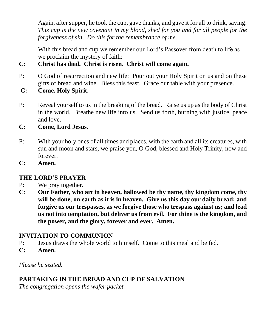Again, after supper, he took the cup, gave thanks, and gave it for all to drink, saying: *This cup is the new covenant in my blood, shed for you and for all people for the forgiveness of sin. Do this for the remembrance of me.* 

With this bread and cup we remember our Lord's Passover from death to life as we proclaim the mystery of faith:

# **C: Christ has died. Christ is risen. Christ will come again.**

- P: O God of resurrection and new life: Pour out your Holy Spirit on us and on these gifts of bread and wine. Bless this feast. Grace our table with your presence.
- **C: Come, Holy Spirit.**
- P: Reveal yourself to us in the breaking of the bread. Raise us up as the body of Christ in the world. Breathe new life into us. Send us forth, burning with justice, peace and love.
- **C: Come, Lord Jesus.**
- P: With your holy ones of all times and places, with the earth and all its creatures, with sun and moon and stars, we praise you, O God, blessed and Holy Trinity, now and forever.
- **C: Amen.**

#### **THE LORD'S PRAYER**

- P: We pray together.
- **C**: **Our Father, who art in heaven, hallowed be thy name, thy kingdom come, thy will be done, on earth as it is in heaven. Give us this day our daily bread; and forgive us our trespasses, as we forgive those who trespass against us; and lead us not into temptation, but deliver us from evil. For thine is the kingdom, and the power, and the glory, forever and ever. Amen.**

### **INVITATION TO COMMUNION**

- P: Jesus draws the whole world to himself. Come to this meal and be fed.
- **C: Amen.**

*Please be seated.* 

### **PARTAKING IN THE BREAD AND CUP OF SALVATION**

*The congregation opens the wafer packet.*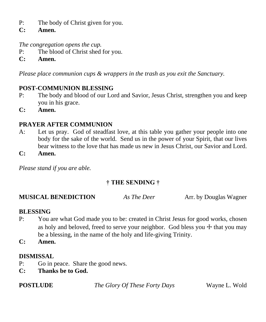- P: The body of Christ given for you.
- **C: Amen.**

*The congregation opens the cup.*

- P: The blood of Christ shed for you.
- **C: Amen.**

*Please place communion cups & wrappers in the trash as you exit the Sanctuary.*

# **POST-COMMUNION BLESSING**

- P: The body and blood of our Lord and Savior, Jesus Christ, strengthen you and keep you in his grace.
- **C: Amen.**

# **PRAYER AFTER COMMUNION**

- A: Let us pray. God of steadfast love, at this table you gather your people into one body for the sake of the world. Send us in the power of your Spirit, that our lives bear witness to the love that has made us new in Jesus Christ, our Savior and Lord.
- **C: Amen.**

*Please stand if you are able.*

# **† THE SENDING †**

**MUSICAL BENEDICTION** *As The Deer* Arr. by Douglas Wagner

### **BLESSING**

P: You are what God made you to be: created in Christ Jesus for good works, chosen as holy and beloved, freed to serve your neighbor. God bless you  $\pm$  that you may be a blessing, in the name of the holy and life-giving Trinity.

**C: Amen.**

### **DISMISSAL**

- P: Go in peace. Share the good news.
- **C: Thanks be to God.**

**POSTLUDE** *The Glory Of These Forty Days* Wayne L. Wold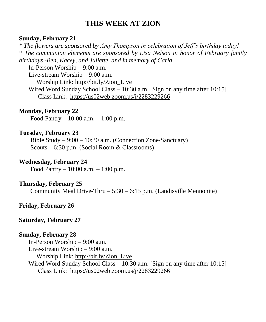# **THIS WEEK AT ZION**

#### **Sunday, February 21**

*\* The flowers are sponsored by Amy Thompson in celebration of Jeff's birthday today! \* The communion elements are sponsored by Lisa Nelson in honor of February family birthdays -Ben, Kacey, and Juliette, and in memory of Carla.*  In-Person Worship – 9:00 a.m. Live-stream Worship – 9:00 a.m. Worship Link: [http://bit.ly/Zion\\_Live](http://bit.ly/Zion_Live) Wired Word Sunday School Class – 10:30 a.m. [Sign on any time after 10:15] Class Link: <https://us02web.zoom.us/j/2283229266>

#### **Monday, February 22**

Food Pantry – 10:00 a.m. – 1:00 p.m.

#### **Tuesday, February 23**

Bible Study – 9:00 – 10:30 a.m. (Connection Zone/Sanctuary) Scouts – 6:30 p.m. (Social Room & Classrooms)

#### **Wednesday, February 24**

Food Pantry – 10:00 a.m. – 1:00 p.m.

#### **Thursday, February 25**

Community Meal Drive-Thru – 5:30 – 6:15 p.m. (Landisville Mennonite)

#### **Friday, February 26**

#### **Saturday, February 27**

#### **Sunday, February 28**

In-Person Worship – 9:00 a.m. Live-stream Worship – 9:00 a.m. Worship Link: [http://bit.ly/Zion\\_Live](http://bit.ly/Zion_Live) Wired Word Sunday School Class – 10:30 a.m. [Sign on any time after 10:15] Class Link: <https://us02web.zoom.us/j/2283229266>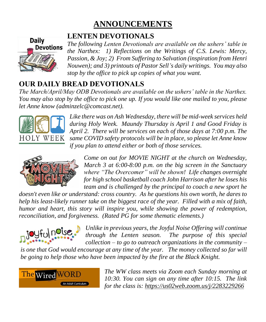# **ANNOUNCEMENTS**



# **LENTEN DEVOTIONALS**

*The following Lenten Devotionals are available on the ushers' table in the Narthex: 1) Reflections on the Writings of C.S. Lewis: Mercy, Passion, & Joy; 2) From Suffering to Salvation (inspiration from Henri Nouwen); and 3) printouts of Pastor Sell's daily writings. You may also stop by the office to pick up copies of what you want.*

# **OUR DAILY BREAD DEVOTIONALS**

*The March/April/May ODB Devotionals are available on the ushers' table in the Narthex. You may also stop by the office to pick one up. If you would like one mailed to you, please let Anne know (adminzelc@comcast.net).*



*Like there was on Ash Wednesday, there will be mid-week services held during Holy Week. Maundy Thursday is April 1 and Good Friday is April 2. There will be services on each of those days at 7:00 p.m. The same COVID safety protocols will be in place, so please let Anne know if you plan to attend either or both of those services.* 



*Come on out for MOVIE NIGHT at the church on Wednesday, March 3 at 6:00-8:00 p.m. on the big screen in the Sanctuary where "The Overcomer" will be shown! Life changes overnight for high school basketball coach John Harrison after he loses his team and is challenged by the principal to coach a new sport he* 

*doesn't even like or understand: cross country. As he questions his own worth, he dares to help his least-likely runner take on the biggest race of the year. Filled with a mix of faith, humor and heart, this story will inspire you, while showing the power of redemption, reconciliation, and forgiveness. (Rated PG for some thematic elements.)*



*Unlike in previous years, the Joyful Noise Offering will continue through the Lenten season. The purpose of this special collection – to go to outreach organizations in the community –*

*is one that God would encourage at any time of the year. The money collected so far will be going to help those who have been impacted by the fire at the Black Knight.* 



*The WW class meets via Zoom each Sunday morning at 10:30. You can sign on any time after 10:15. The link for the class is:<https://us02web.zoom.us/j/2283229266>*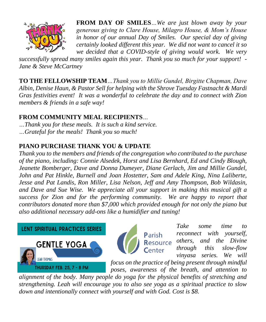

**FROM DAY OF SMILES***…We are just blown away by your generous giving to Clare House, Milagro House, & Mom's House in honor of our annual Day of Smiles. Our special day of giving certainly looked different this year. We did not want to cancel it so we decided that a COVID-style of giving would work. We very* 

*successfully spread many smiles again this year. Thank you so much for your support! - Jane & Steve McCartney*

**TO THE FELLOWSHIP TEAM***…Thank you to Millie Gundel, Birgitte Chapman, Dave Albin, Denise Haun, & Pastor Sell for helping with the Shrove Tuesday Fastnacht & Mardi Gras festivities event! It was a wonderful to celebrate the day and to connect with Zion members & friends in a safe way!* 

# **FROM COMMUNITY MEAL RECIPIENTS***…*

- *…Thank you for these meals. It is such a kind service.*
- *…Grateful for the meals! Thank you so much!*

# **PIANO PURCHASE THANK YOU & UPDATE**

*Thank you to the members and friends of the congregation who contributed to the purchase of the piano, including: Connie Alsedek, Horst and Lisa Bernhard, Ed and Cindy Blough, Jeanette Bomberger, Dave and Donna Dumeyer, Diane Gerlach, Jim and Millie Gundel, John and Pat Hinkle, Burnell and Joan Hostetter, Sam and Adele King, Nina Laliberte, Jesse and Pat Landis, Ron Miller, Lisa Nelson, Jeff and Amy Thompson, Bob Wildasin, and Dave and Sue Wise. We appreciate all your support in making this musical gift a success for Zion and for the performing community. We are happy to report that contributors donated more than \$7,000 which provided enough for not only the piano but also additional necessary add-ons like a humidifier and tuning!*





*Take some time to reconnect with yourself, others, and the Divine through this slow-flow vinyasa series. We will* 

*focus on the practice of being present through mindful poses, awareness of the breath, and attention to* 

*alignment of the body. Many people do yoga for the physical benefits of stretching and strengthening. Leah will encourage you to also see yoga as a spiritual practice to slow down and intentionally connect with yourself and with God. Cost is \$8.*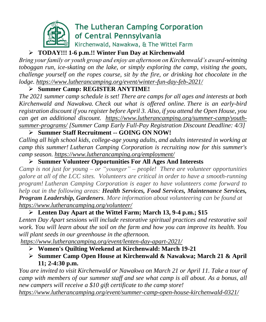

# The Lutheran Camping Corporation of Central Pennsylvania

Kirchenwald, Nawakwa, & The Wittel Farm

# ➢ **[TODAY!!! 1-6 p.m.!! Winter Fun Day at Kirchenwald](https://files.constantcontact.com/18c44923001/3ad1d5b9-0e43-4247-a5ff-03345e473f4c.pdf)**

*Bring your family or youth group and enjoy an afternoon on Kirchenwald's award-winning toboggan run, ice-skating on the lake, or simply exploring the camp, visiting the goats, challenge yourself on the ropes course, sit by the fire, or drinking hot chocolate in the lodge. [https://www.lutherancamping.org/event/winter-fun-day-feb-2021/](https://r.xdref.com/?id=10QJjaA3023855&from=annerankin524@gmail.com&to=pkeller@pccucc.org&url=https://www.lutherancamping.org/event/winter-fun-day-feb-2021/)*

# ➢ **Summer Camp: [REGISTER ANYTIME!](https://www.lutherancamping.org/forms/SummerBrochure.pdf)**

*The 2021 summer camp schedule is set! There are camps for all ages and interests at both Kirchenwald and Nawakwa. Check out what is offered online. There is an early-bird registration discount if you register before April 3. Also, if you attend the Open House, you can get an additional discount. [https://www.lutherancamping.org/summer-camp/youth](https://www.lutherancamping.org/summer-camp/youth-summer-programs/)[summer-programs/](https://www.lutherancamping.org/summer-camp/youth-summer-programs/) [\[Summer Camp Early Full-Pay Registration Discount Deadline: 4/3\]](https://files.constantcontact.com/18c44923001/56106034-00b7-48fe-9db4-64a5369ec461.pdf)*  ➢ **[Summer Staff Recruitment --](https://files.constantcontact.com/18c44923001/b53294a7-734d-4200-9cd9-14cff0676018.pdf) GOING ON NOW!**

# *Calling all high school kids, college-age young adults, and adults interested in working at camp this summer! Lutheran Camping Corporation is recruiting now for this summer's*

*camp season. [https://www.lutherancamping.org/employment/](https://r.xdref.com/?id=10QJjaA3023855&from=annerankin524@gmail.com&to=pkeller@pccucc.org&url=https://www.lutherancamping.org/employment/)*

# ➢ **Summer Volunteer Opportunities For All Ages And Interests**

*Camp is not just for young – or "younger" – people! There are volunteer opportunities galore at all of the LCC sites. Volunteers are critical in order to have a smooth-running program! Lutheran Camping Corporation is eager to have volunteers come forward to help out in the following areas: Health Services, Food Services, Maintenance Services, Program Leadership, Gardeners. More information about volunteering can be found at [https://www.lutherancamping.org/volunteer/](http://r20.rs6.net/tn.jsp?f=001cL5O-XVfA9LRzTqQjpev4HLSZIkbuoD7HP7dbryXbZlv2lqHXKuzvvvJDyk2jxgCd2c_l3TzpDFcSuqS0qjjVd0-SYyZFECdD4x3wA5Is5WNNtWwznVQJPCVyeWvrorUos_pxl6a1Q-RP0UZFpQZU9H5Z_3dmhZzDfRG65n8i52342EgP0mibDqIBqyEUMNKQFhWVAnSVEQnAY_KV2XcU80P89-RHua4bRzfLvovwdCNTUDWGJeO8kfI_O6GSkQ52dtHTtW1bx-4cR_AxzslSlUNhYy2q6uUHoAVsclgOTg9KA3eNQEEqgFIVx7KHQg-3gwrZBit5xE=&c=Ej7RCnMbRGwnSoKW414hOHrUY4Rw3-CHy4TGscnP-Bw3hXPMY_ZlhQ==&ch=ZeJ5PtxsyYTEskFwei7Pu6iJwOonxMuhRGNu6TTJVgZGpmuncCNZcA==)*

# ➢ **[Lenten Day Apart at the Wittel Farm; March 13, 9-4 p.m.; \\$15](https://www.lutherancamping.org/event/lenten-day-apart-2021/)**

*Lenten Day Apart sessions will include restorative spiritual practices and restorative soil work. You will learn about the soil on the farm and how you can improve its health. You will plant seeds in our greenhouse in the afternoon.*

*[https://www.lutherancamping.org/event/lenten-day-apart-2021/](https://r.xdref.com/?id=10QJjaA3023855&from=annerankin524@gmail.com&to=pkeller@pccucc.org&url=https://www.lutherancamping.org/event/lenten-day-apart-2021/)*

- ➢ **Women's Quilting Weekend at Kirchenwald: March 19-21**
- ➢ **[Summer Camp Open House at Kirchenwald & Nawakwa; March 21 & April](https://www.lutherancamping.org/event/summer-camp-open-house-kirchenwald-0321/)  [11; 2-4:30 p.m.](https://www.lutherancamping.org/event/summer-camp-open-house-kirchenwald-0321/)**

*You are invited to visit Kirchenwald or Nawakwa on March 21 or April 11. Take a tour of camp with members of our summer staff and see what camp is all about. As a bonus, all new campers will receive a \$10 gift certificate to the camp store!* 

*[https://www.lutherancamping.org/event/summer-camp-open-house-kirchenwald-0321/](https://r.xdref.com/?id=10QJjaA3023855&from=annerankin524@gmail.com&to=pkeller@pccucc.org&url=https://www.lutherancamping.org/event/summer-camp-open-house-kirchenwald-0321/)*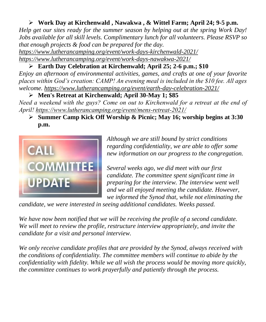# ➢ **Work Day at [Kirchenwald](https://www.lutherancamping.org/event/work-days-kirchenwald-2021/) , [Nawakwa](https://www.lutherancamping.org/event/work-days-nawakwa-2021/) , & Wittel Farm; April 24; 9-5 p.m.**

*Help get our sites ready for the summer season by helping out at the spring Work Day! Jobs available for all skill levels. Complimentary lunch for all volunteers. Please RSVP so that enough projects & food can be prepared for the day.*

*<https://www.lutherancamping.org/event/work-days-kirchenwald-2021/> <https://www.lutherancamping.org/event/work-days-nawakwa-2021/>*

➢ **[Earth Day Celebration at Kirchenwald; April 25; 2-6 p.m.; \\$10](https://files.constantcontact.com/18c44923001/7691fe1e-8c21-4802-92cb-be76e847145d.pdf)**  *Enjoy an afternoon of environmental activities, games, and crafts at one of your favorite places within God's creation: CAMP! An evening meal is included in the \$10 fee. All ages welcome. [https://www.lutherancamping.org/event/earth-day-celebration-2021/](https://r.xdref.com/?id=10QJjaA3023855&from=annerankin524@gmail.com&to=pkeller@pccucc.org&url=https://www.lutherancamping.org/event/earth-day-celebration-2021/)*

➢ **[Men's Retreat at Kirchenwald; April 30-May 1; \\$85](https://files.constantcontact.com/18c44923001/626f5d51-beeb-4dbd-958d-01abc6c17e37.pdf)**  *Need a weekend with the guys? Come on out to Kirchenwald for a retreat at the end of April! [https://www.lutherancamping.org/event/mens-retreat-2021/](https://r.xdref.com/?id=10QJjaA3023855&from=annerankin524@gmail.com&to=pkeller@pccucc.org&url=https://www.lutherancamping.org/event/mens-retreat-2021/)*

➢ **[Summer Camp Kick Off Worship & Picnic; May 16; worship begins](https://files.constantcontact.com/18c44923001/47a4cde1-c43a-4640-8ecf-25197bbe7910.pdf) at 3:30 [p.m.](https://files.constantcontact.com/18c44923001/47a4cde1-c43a-4640-8ecf-25197bbe7910.pdf)**



*Although we are still bound by strict conditions regarding confidentiality, we are able to offer some new information on our progress to the congregation.*

*Several weeks ago, we did meet with our first candidate. The committee spent significant time in preparing for the interview. The interview went well and we all enjoyed meeting the candidate. However, we informed the Synod that, while not eliminating the* 

*candidate, we were interested in seeing additional candidates. Weeks passed.* 

*We have now been notified that we will be receiving the profile of a second candidate. We will meet to review the profile, restructure interview appropriately, and invite the candidate for a visit and personal interview.*

*We only receive candidate profiles that are provided by the Synod, always received with the conditions of confidentiality. The committee members will continue to abide by the confidentiality with fidelity. While we all wish the process would be moving more quickly, the committee continues to work prayerfully and patiently through the process.*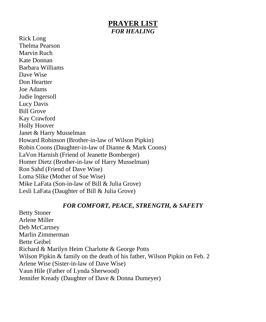# **PRAYER LIST** *FOR HEALING*

Rick Long Thelma Pearson Marvin Ruch Kate Donnan Barbara Williams Dave Wise Don Heartter Joe Adams Judie Ingersoll Lucy Davis Bill Grove Kay Crawford Holly Hoover Janet & Harry Musselman Howard Robinson (Brother-in-law of Wilson Pipkin) Robin Coons (Daughter-in-law of Dianne & Mark Coons) LaVon Harnish (Friend of Jeanette Bomberger) Homer Dietz (Brother-in-law of Harry Musselman) Ron Sahd (Friend of Dave Wise) Loma Slike (Mother of Sue Wise) Mike LaFata (Son-in-law of Bill & Julia Grove) Lesli LaFata (Daughter of Bill & Julia Grove)

#### *FOR COMFORT, PEACE, STRENGTH, & SAFETY*

Betty Stoner Arlene Miller Deb McCartney Marlin Zimmerman Bette Geibel Richard & Marilyn Heim Charlotte & George Potts Wilson Pipkin & family on the death of his father, Wilson Pipkin on Feb. 2 Arlene Wise (Sister-in-law of Dave Wise) Vaun Hile (Father of Lynda Sherwood) Jennifer Kready (Daughter of Dave & Donna Dumeyer)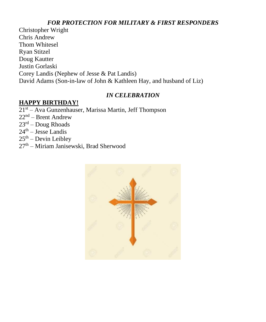#### *FOR PROTECTION FOR MILITARY & FIRST RESPONDERS*

Christopher Wright Chris Andrew Thom Whitesel Ryan Stitzel Doug Kautter Justin Gorlaski Corey Landis (Nephew of Jesse & Pat Landis) David Adams (Son-in-law of John & Kathleen Hay, and husband of Liz)

#### *IN CELEBRATION*

### **HAPPY BIRTHDAY!**

- 21<sup>st</sup> Ava Gunzenhauser, Marissa Martin, Jeff Thompson
- 22<sup>nd</sup> Brent Andrew
- 23<sup>rd</sup> Doug Rhoads
- 24th Jesse Landis
- $25<sup>th</sup>$  Devin Leibley
- 27<sup>th</sup> Miriam Janisewski, Brad Sherwood